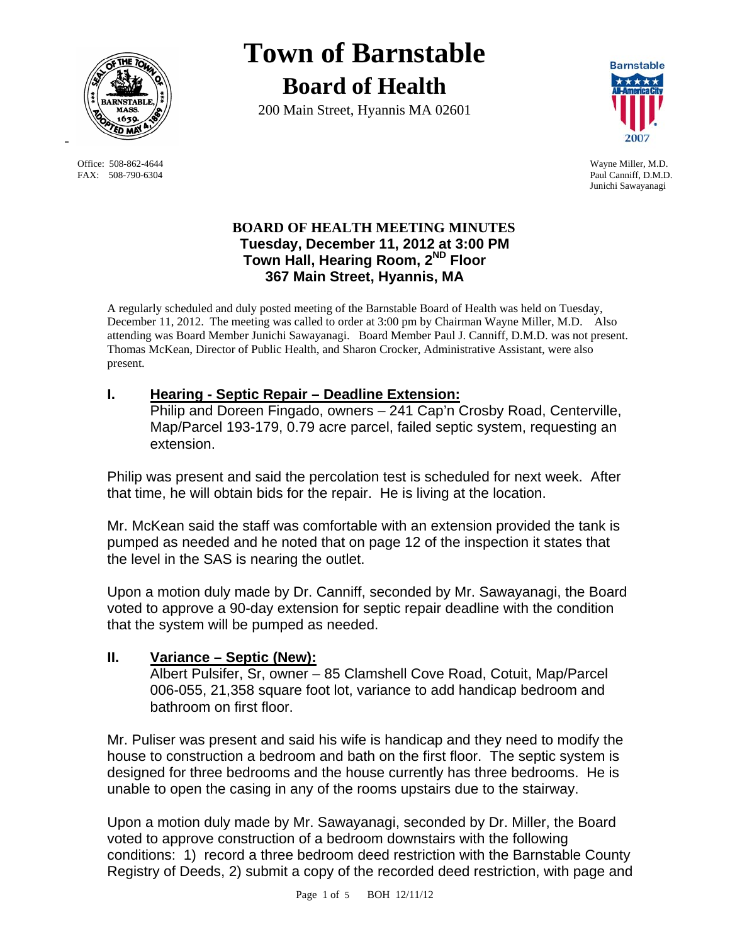

FAX: 508-790-6304 Paul Canniff, D.M.D.

# **Town of Barnstable Board of Health**

200 Main Street, Hyannis MA 02601



 Office: 508-862-4644 Wayne Miller, M.D. Junichi Sawayanagi

#### **BOARD OF HEALTH MEETING MINUTES Tuesday, December 11, 2012 at 3:00 PM Town Hall, Hearing Room, 2ND Floor 367 Main Street, Hyannis, MA**

A regularly scheduled and duly posted meeting of the Barnstable Board of Health was held on Tuesday, December 11, 2012. The meeting was called to order at 3:00 pm by Chairman Wayne Miller, M.D. Also attending was Board Member Junichi Sawayanagi. Board Member Paul J. Canniff, D.M.D. was not present. Thomas McKean, Director of Public Health, and Sharon Crocker, Administrative Assistant, were also present.

### **I. Hearing - Septic Repair – Deadline Extension:**

Philip and Doreen Fingado, owners – 241 Cap'n Crosby Road, Centerville, Map/Parcel 193-179, 0.79 acre parcel, failed septic system, requesting an extension.

Philip was present and said the percolation test is scheduled for next week. After that time, he will obtain bids for the repair. He is living at the location.

Mr. McKean said the staff was comfortable with an extension provided the tank is pumped as needed and he noted that on page 12 of the inspection it states that the level in the SAS is nearing the outlet.

Upon a motion duly made by Dr. Canniff, seconded by Mr. Sawayanagi, the Board voted to approve a 90-day extension for septic repair deadline with the condition that the system will be pumped as needed.

#### **II. Variance – Septic (New):**

Albert Pulsifer, Sr, owner – 85 Clamshell Cove Road, Cotuit, Map/Parcel 006-055, 21,358 square foot lot, variance to add handicap bedroom and bathroom on first floor.

Mr. Puliser was present and said his wife is handicap and they need to modify the house to construction a bedroom and bath on the first floor. The septic system is designed for three bedrooms and the house currently has three bedrooms. He is unable to open the casing in any of the rooms upstairs due to the stairway.

Upon a motion duly made by Mr. Sawayanagi, seconded by Dr. Miller, the Board voted to approve construction of a bedroom downstairs with the following conditions: 1) record a three bedroom deed restriction with the Barnstable County Registry of Deeds, 2) submit a copy of the recorded deed restriction, with page and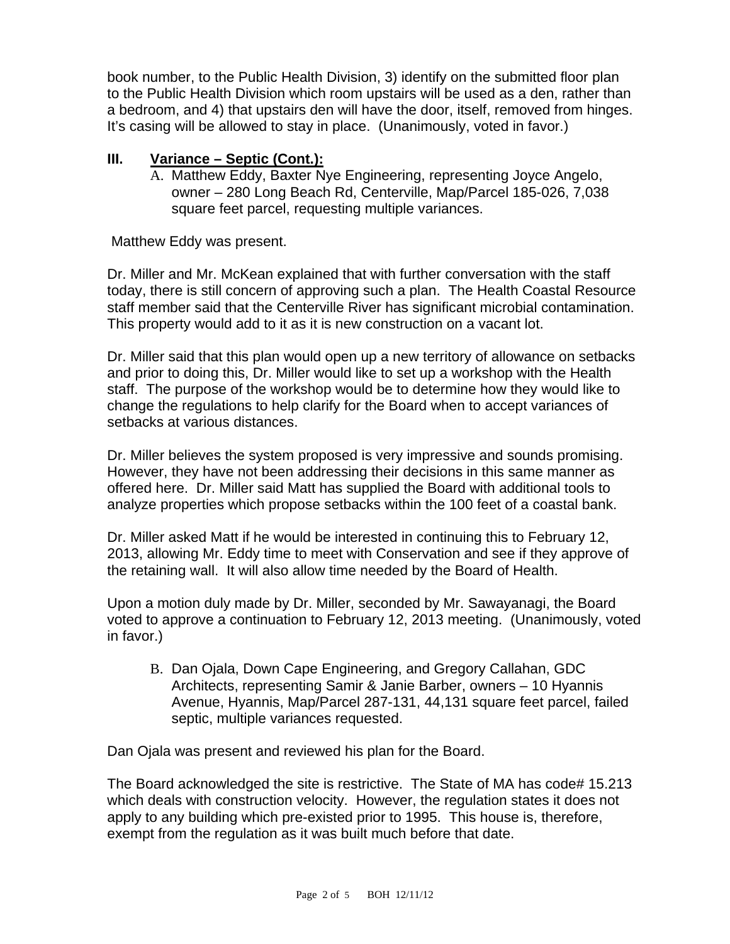book number, to the Public Health Division, 3) identify on the submitted floor plan to the Public Health Division which room upstairs will be used as a den, rather than a bedroom, and 4) that upstairs den will have the door, itself, removed from hinges. It's casing will be allowed to stay in place. (Unanimously, voted in favor.)

#### **III. Variance – Septic (Cont.):**

A. Matthew Eddy, Baxter Nye Engineering, representing Joyce Angelo, owner – 280 Long Beach Rd, Centerville, Map/Parcel 185-026, 7,038 square feet parcel, requesting multiple variances.

Matthew Eddy was present.

Dr. Miller and Mr. McKean explained that with further conversation with the staff today, there is still concern of approving such a plan. The Health Coastal Resource staff member said that the Centerville River has significant microbial contamination. This property would add to it as it is new construction on a vacant lot.

Dr. Miller said that this plan would open up a new territory of allowance on setbacks and prior to doing this, Dr. Miller would like to set up a workshop with the Health staff. The purpose of the workshop would be to determine how they would like to change the regulations to help clarify for the Board when to accept variances of setbacks at various distances.

Dr. Miller believes the system proposed is very impressive and sounds promising. However, they have not been addressing their decisions in this same manner as offered here. Dr. Miller said Matt has supplied the Board with additional tools to analyze properties which propose setbacks within the 100 feet of a coastal bank.

Dr. Miller asked Matt if he would be interested in continuing this to February 12, 2013, allowing Mr. Eddy time to meet with Conservation and see if they approve of the retaining wall. It will also allow time needed by the Board of Health.

Upon a motion duly made by Dr. Miller, seconded by Mr. Sawayanagi, the Board voted to approve a continuation to February 12, 2013 meeting. (Unanimously, voted in favor.)

B. Dan Ojala, Down Cape Engineering, and Gregory Callahan, GDC Architects, representing Samir & Janie Barber, owners – 10 Hyannis Avenue, Hyannis, Map/Parcel 287-131, 44,131 square feet parcel, failed septic, multiple variances requested.

Dan Ojala was present and reviewed his plan for the Board.

The Board acknowledged the site is restrictive. The State of MA has code# 15.213 which deals with construction velocity. However, the regulation states it does not apply to any building which pre-existed prior to 1995. This house is, therefore, exempt from the regulation as it was built much before that date.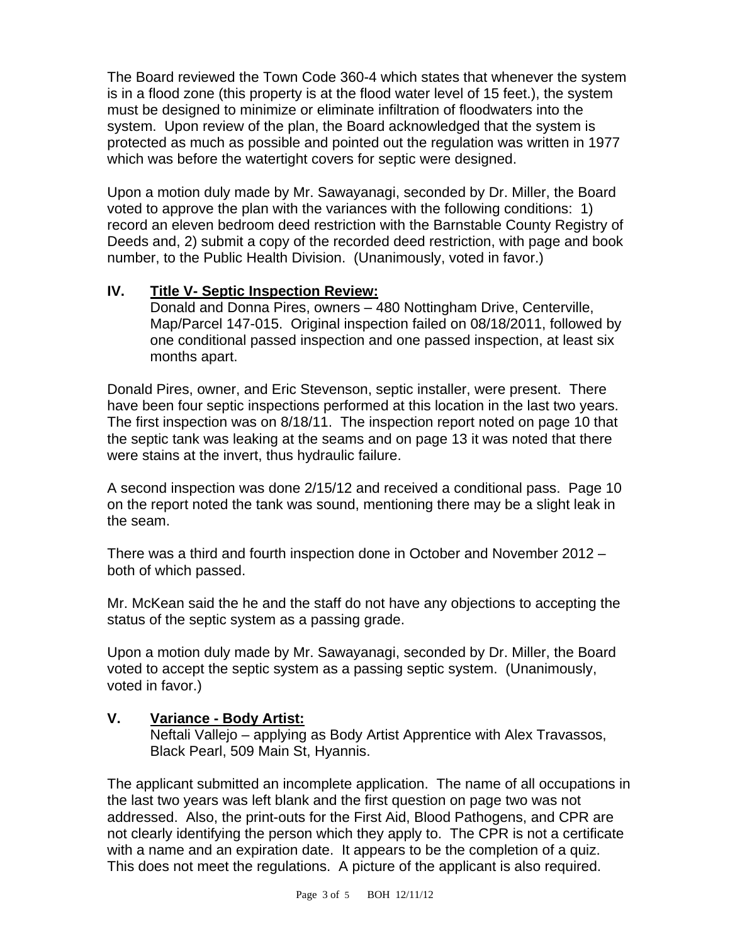The Board reviewed the Town Code 360-4 which states that whenever the system is in a flood zone (this property is at the flood water level of 15 feet.), the system must be designed to minimize or eliminate infiltration of floodwaters into the system. Upon review of the plan, the Board acknowledged that the system is protected as much as possible and pointed out the regulation was written in 1977 which was before the watertight covers for septic were designed.

Upon a motion duly made by Mr. Sawayanagi, seconded by Dr. Miller, the Board voted to approve the plan with the variances with the following conditions: 1) record an eleven bedroom deed restriction with the Barnstable County Registry of Deeds and, 2) submit a copy of the recorded deed restriction, with page and book number, to the Public Health Division. (Unanimously, voted in favor.)

#### **IV. Title V- Septic Inspection Review:**

Donald and Donna Pires, owners – 480 Nottingham Drive, Centerville, Map/Parcel 147-015. Original inspection failed on 08/18/2011, followed by one conditional passed inspection and one passed inspection, at least six months apart.

Donald Pires, owner, and Eric Stevenson, septic installer, were present. There have been four septic inspections performed at this location in the last two years. The first inspection was on 8/18/11. The inspection report noted on page 10 that the septic tank was leaking at the seams and on page 13 it was noted that there were stains at the invert, thus hydraulic failure.

A second inspection was done 2/15/12 and received a conditional pass. Page 10 on the report noted the tank was sound, mentioning there may be a slight leak in the seam.

There was a third and fourth inspection done in October and November 2012 – both of which passed.

Mr. McKean said the he and the staff do not have any objections to accepting the status of the septic system as a passing grade.

Upon a motion duly made by Mr. Sawayanagi, seconded by Dr. Miller, the Board voted to accept the septic system as a passing septic system. (Unanimously, voted in favor.)

### **V. Variance - Body Artist:**

Neftali Vallejo – applying as Body Artist Apprentice with Alex Travassos, Black Pearl, 509 Main St, Hyannis.

The applicant submitted an incomplete application. The name of all occupations in the last two years was left blank and the first question on page two was not addressed. Also, the print-outs for the First Aid, Blood Pathogens, and CPR are not clearly identifying the person which they apply to. The CPR is not a certificate with a name and an expiration date. It appears to be the completion of a quiz. This does not meet the regulations. A picture of the applicant is also required.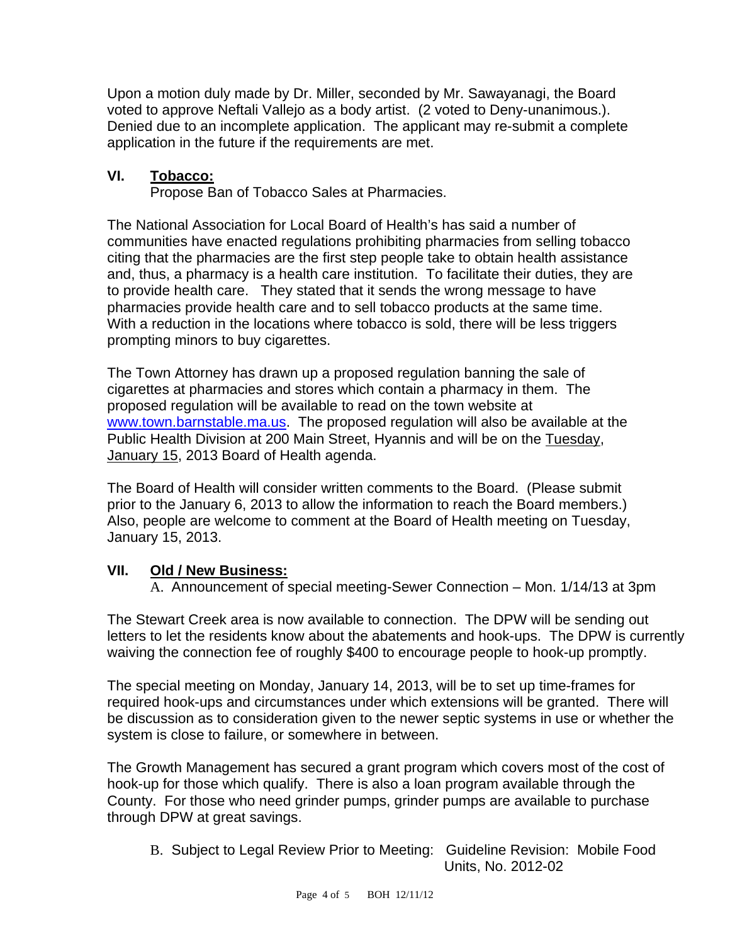Upon a motion duly made by Dr. Miller, seconded by Mr. Sawayanagi, the Board voted to approve Neftali Vallejo as a body artist. (2 voted to Deny-unanimous.). Denied due to an incomplete application. The applicant may re-submit a complete application in the future if the requirements are met.

## **VI. Tobacco:**

Propose Ban of Tobacco Sales at Pharmacies.

The National Association for Local Board of Health's has said a number of communities have enacted regulations prohibiting pharmacies from selling tobacco citing that the pharmacies are the first step people take to obtain health assistance and, thus, a pharmacy is a health care institution. To facilitate their duties, they are to provide health care. They stated that it sends the wrong message to have pharmacies provide health care and to sell tobacco products at the same time. With a reduction in the locations where tobacco is sold, there will be less triggers prompting minors to buy cigarettes.

The Town Attorney has drawn up a proposed regulation banning the sale of cigarettes at pharmacies and stores which contain a pharmacy in them. The proposed regulation will be available to read on the town website at www.town.barnstable.ma.us. The proposed regulation will also be available at the Public Health Division at 200 Main Street, Hyannis and will be on the Tuesday, January 15, 2013 Board of Health agenda.

The Board of Health will consider written comments to the Board. (Please submit prior to the January 6, 2013 to allow the information to reach the Board members.) Also, people are welcome to comment at the Board of Health meeting on Tuesday, January 15, 2013.

### **VII. Old / New Business:**

A. Announcement of special meeting-Sewer Connection – Mon. 1/14/13 at 3pm

The Stewart Creek area is now available to connection. The DPW will be sending out letters to let the residents know about the abatements and hook-ups. The DPW is currently waiving the connection fee of roughly \$400 to encourage people to hook-up promptly.

The special meeting on Monday, January 14, 2013, will be to set up time-frames for required hook-ups and circumstances under which extensions will be granted. There will be discussion as to consideration given to the newer septic systems in use or whether the system is close to failure, or somewhere in between.

The Growth Management has secured a grant program which covers most of the cost of hook-up for those which qualify. There is also a loan program available through the County. For those who need grinder pumps, grinder pumps are available to purchase through DPW at great savings.

B. Subject to Legal Review Prior to Meeting: Guideline Revision: Mobile Food Units, No. 2012-02